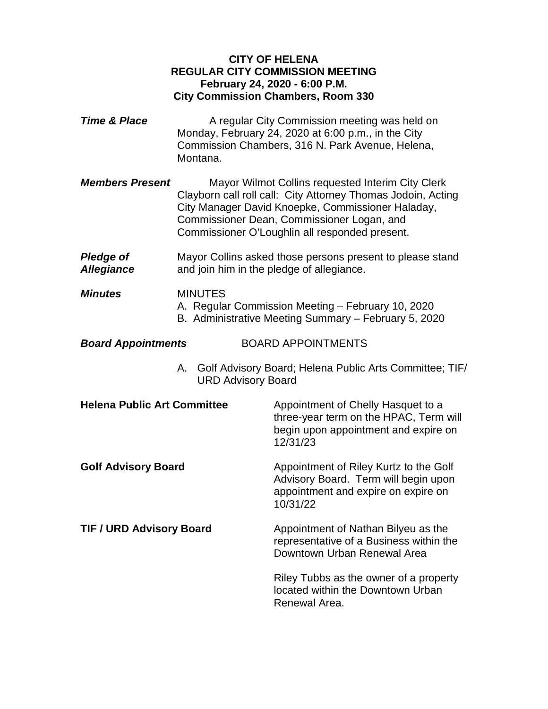# **CITY OF HELENA REGULAR CITY COMMISSION MEETING February 24, 2020 - 6:00 P.M. City Commission Chambers, Room 330**

- **Time & Place** A regular City Commission meeting was held on Monday, February 24, 2020 at 6:00 p.m., in the City Commission Chambers, 316 N. Park Avenue, Helena, Montana.
- *Members Present* Mayor Wilmot Collins requested Interim City Clerk Clayborn call roll call: City Attorney Thomas Jodoin, Acting City Manager David Knoepke, Commissioner Haladay, Commissioner Dean, Commissioner Logan, and Commissioner O'Loughlin all responded present.
- **Pledge of** Mayor Collins asked those persons present to please stand *Allegiance* and join him in the pledge of allegiance.
- *Minutes* MINUTES A. Regular Commission Meeting – February 10, 2020 B. Administrative Meeting Summary – February 5, 2020
- *Board Appointments* BOARD APPOINTMENTS
	- A. Golf Advisory Board; Helena Public Arts Committee; TIF/ URD Advisory Board

| <b>Helena Public Art Committee</b> | Appointment of Chelly Hasquet to a<br>three-year term on the HPAC, Term will<br>begin upon appointment and expire on<br>12/31/23  |
|------------------------------------|-----------------------------------------------------------------------------------------------------------------------------------|
| <b>Golf Advisory Board</b>         | Appointment of Riley Kurtz to the Golf<br>Advisory Board. Term will begin upon<br>appointment and expire on expire on<br>10/31/22 |
| <b>TIF / URD Advisory Board</b>    | Appointment of Nathan Bilyeu as the<br>representative of a Business within the<br>Downtown Urban Renewal Area                     |
|                                    | Riley Tubbs as the owner of a property<br>located within the Downtown Urban<br>Renewal Area                                       |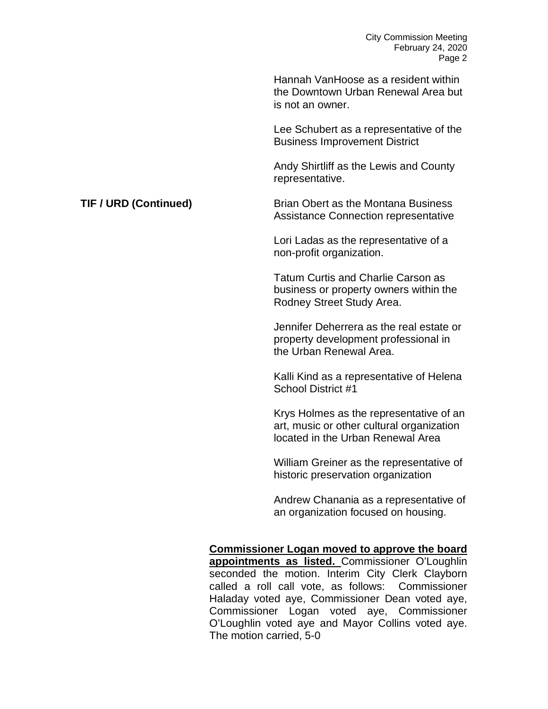|                       | Hannah VanHoose as a resident within<br>the Downtown Urban Renewal Area but<br>is not an owner.                           |
|-----------------------|---------------------------------------------------------------------------------------------------------------------------|
|                       | Lee Schubert as a representative of the<br><b>Business Improvement District</b>                                           |
|                       | Andy Shirtliff as the Lewis and County<br>representative.                                                                 |
| TIF / URD (Continued) | <b>Brian Obert as the Montana Business</b><br>Assistance Connection representative                                        |
|                       | Lori Ladas as the representative of a<br>non-profit organization.                                                         |
|                       | <b>Tatum Curtis and Charlie Carson as</b><br>business or property owners within the<br>Rodney Street Study Area.          |
|                       | Jennifer Deherrera as the real estate or<br>property development professional in<br>the Urban Renewal Area.               |
|                       | Kalli Kind as a representative of Helena<br>School District #1                                                            |
|                       | Krys Holmes as the representative of an<br>art, music or other cultural organization<br>located in the Urban Renewal Area |
|                       | William Greiner as the representative of<br>historic preservation organization                                            |
|                       | Andrew Chanania as a representative of<br>an organization focused on housing.                                             |
|                       | Commissioner Logan moved to approve the board                                                                             |

**Commissioner Logan moved to approve the board appointments as listed.** Commissioner O'Loughlin seconded the motion. Interim City Clerk Clayborn called a roll call vote, as follows: Commissioner Haladay voted aye, Commissioner Dean voted aye, Commissioner Logan voted aye, Commissioner O'Loughlin voted aye and Mayor Collins voted aye. The motion carried, 5-0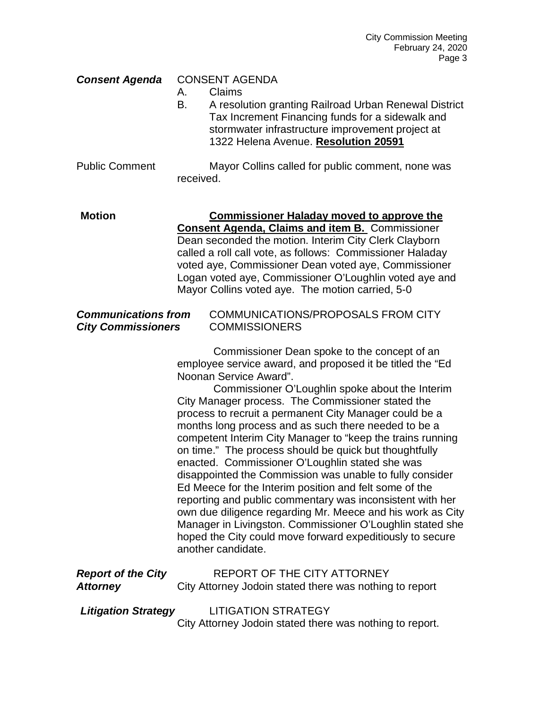## *Consent Agenda* CONSENT AGENDA

- A. Claims
- B. A resolution granting Railroad Urban Renewal District Tax Increment Financing funds for a sidewalk and stormwater infrastructure improvement project at 1322 Helena Avenue. **Resolution 20591**

Public Comment Mayor Collins called for public comment, none was received.

**Motion Commissioner Haladay moved to approve the Consent Agenda, Claims and item B.** Commissioner Dean seconded the motion. Interim City Clerk Clayborn called a roll call vote, as follows: Commissioner Haladay voted aye, Commissioner Dean voted aye, Commissioner Logan voted aye, Commissioner O'Loughlin voted aye and Mayor Collins voted aye. The motion carried, 5-0

## *Communications from* COMMUNICATIONS/PROPOSALS FROM CITY *City Commissioners* COMMISSIONERS

Commissioner Dean spoke to the concept of an employee service award, and proposed it be titled the "Ed Noonan Service Award".

Commissioner O'Loughlin spoke about the Interim City Manager process. The Commissioner stated the process to recruit a permanent City Manager could be a months long process and as such there needed to be a competent Interim City Manager to "keep the trains running on time." The process should be quick but thoughtfully enacted. Commissioner O'Loughlin stated she was disappointed the Commission was unable to fully consider Ed Meece for the Interim position and felt some of the reporting and public commentary was inconsistent with her own due diligence regarding Mr. Meece and his work as City Manager in Livingston. Commissioner O'Loughlin stated she hoped the City could move forward expeditiously to secure another candidate.

| <b>Report of the City</b>  | <b>REPORT OF THE CITY ATTORNEY</b>                       |
|----------------------------|----------------------------------------------------------|
| <b>Attorney</b>            | City Attorney Jodoin stated there was nothing to report  |
|                            |                                                          |
| <b>Litigation Strategy</b> | <b>LITIGATION STRATEGY</b>                               |
|                            | City Attorney Jodoin stated there was nothing to report. |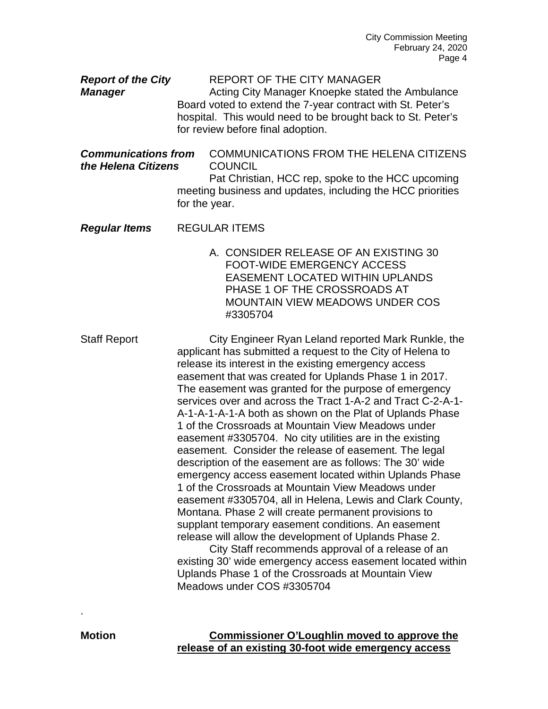**Report of the City** REPORT OF THE CITY MANAGER *Manager* Acting City Manager Knoepke stated the Ambulance Board voted to extend the 7-year contract with St. Peter's hospital. This would need to be brought back to St. Peter's for review before final adoption. *Communications from* COMMUNICATIONS FROM THE HELENA CITIZENS *the Helena Citizens* COUNCIL Pat Christian, HCC rep, spoke to the HCC upcoming meeting business and updates, including the HCC priorities for the year. *Regular Items* REGULAR ITEMS A. CONSIDER RELEASE OF AN EXISTING 30 FOOT-WIDE EMERGENCY ACCESS EASEMENT LOCATED WITHIN UPLANDS PHASE 1 OF THE CROSSROADS AT MOUNTAIN VIEW MEADOWS UNDER COS #3305704 Staff Report **City Engineer Ryan Leland reported Mark Runkle**, the applicant has submitted a request to the City of Helena to release its interest in the existing emergency access easement that was created for Uplands Phase 1 in 2017.

The easement was granted for the purpose of emergency services over and across the Tract 1-A-2 and Tract C-2-A-1- A-1-A-1-A-1-A both as shown on the Plat of Uplands Phase 1 of the Crossroads at Mountain View Meadows under easement #3305704. No city utilities are in the existing easement. Consider the release of easement. The legal description of the easement are as follows: The 30' wide emergency access easement located within Uplands Phase 1 of the Crossroads at Mountain View Meadows under easement #3305704, all in Helena, Lewis and Clark County, Montana. Phase 2 will create permanent provisions to supplant temporary easement conditions. An easement release will allow the development of Uplands Phase 2.

City Staff recommends approval of a release of an existing 30' wide emergency access easement located within Uplands Phase 1 of the Crossroads at Mountain View Meadows under COS #3305704

.

**Motion Commissioner O'Loughlin moved to approve the release of an existing 30-foot wide emergency access**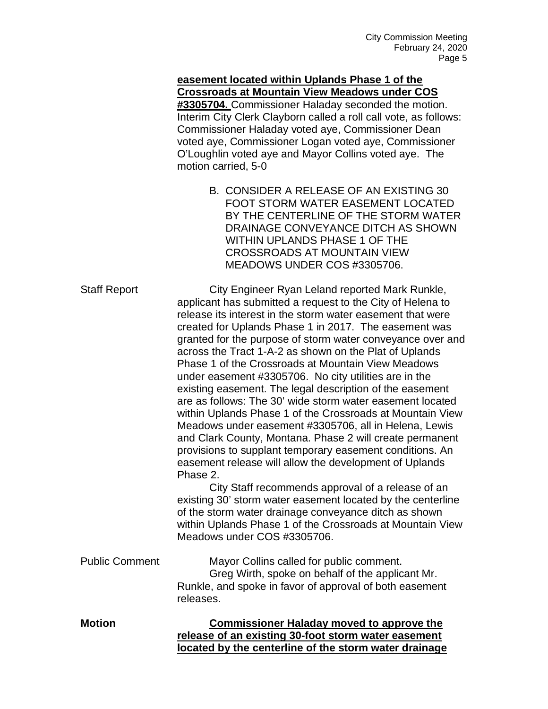# **easement located within Uplands Phase 1 of the Crossroads at Mountain View Meadows under COS**

**#3305704.** Commissioner Haladay seconded the motion. Interim City Clerk Clayborn called a roll call vote, as follows: Commissioner Haladay voted aye, Commissioner Dean voted aye, Commissioner Logan voted aye, Commissioner O'Loughlin voted aye and Mayor Collins voted aye. The motion carried, 5-0

> B. CONSIDER A RELEASE OF AN EXISTING 30 FOOT STORM WATER EASEMENT LOCATED BY THE CENTERLINE OF THE STORM WATER DRAINAGE CONVEYANCE DITCH AS SHOWN WITHIN UPLANDS PHASE 1 OF THE CROSSROADS AT MOUNTAIN VIEW MEADOWS UNDER COS #3305706.

| <b>Staff Report</b>   | City Engineer Ryan Leland reported Mark Runkle,<br>applicant has submitted a request to the City of Helena to<br>release its interest in the storm water easement that were<br>created for Uplands Phase 1 in 2017. The easement was<br>granted for the purpose of storm water conveyance over and<br>across the Tract 1-A-2 as shown on the Plat of Uplands<br>Phase 1 of the Crossroads at Mountain View Meadows<br>under easement #3305706. No city utilities are in the<br>existing easement. The legal description of the easement<br>are as follows: The 30' wide storm water easement located<br>within Uplands Phase 1 of the Crossroads at Mountain View<br>Meadows under easement #3305706, all in Helena, Lewis<br>and Clark County, Montana. Phase 2 will create permanent<br>provisions to supplant temporary easement conditions. An<br>easement release will allow the development of Uplands<br>Phase 2.<br>City Staff recommends approval of a release of an<br>existing 30' storm water easement located by the centerline<br>of the storm water drainage conveyance ditch as shown<br>within Uplands Phase 1 of the Crossroads at Mountain View<br>Meadows under COS #3305706. |
|-----------------------|---------------------------------------------------------------------------------------------------------------------------------------------------------------------------------------------------------------------------------------------------------------------------------------------------------------------------------------------------------------------------------------------------------------------------------------------------------------------------------------------------------------------------------------------------------------------------------------------------------------------------------------------------------------------------------------------------------------------------------------------------------------------------------------------------------------------------------------------------------------------------------------------------------------------------------------------------------------------------------------------------------------------------------------------------------------------------------------------------------------------------------------------------------------------------------------------------|
| <b>Public Comment</b> | Mayor Collins called for public comment.<br>Greg Wirth, spoke on behalf of the applicant Mr.<br>Runkle, and spoke in favor of approval of both easement                                                                                                                                                                                                                                                                                                                                                                                                                                                                                                                                                                                                                                                                                                                                                                                                                                                                                                                                                                                                                                           |
| <b>Motion</b>         | releases.<br><b>Commissioner Haladay moved to approve the</b><br>release of an existing 30-foot storm water easement<br>located by the centerline of the storm water drainage                                                                                                                                                                                                                                                                                                                                                                                                                                                                                                                                                                                                                                                                                                                                                                                                                                                                                                                                                                                                                     |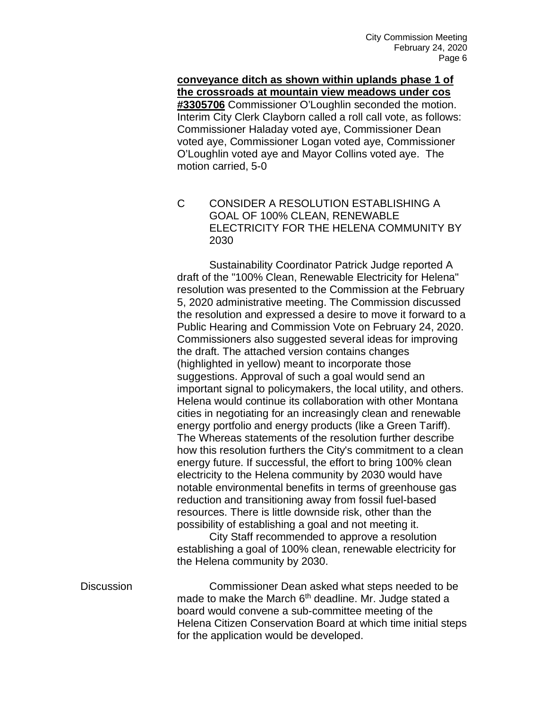**conveyance ditch as shown within uplands phase 1 of the crossroads at mountain view meadows under cos #3305706** Commissioner O'Loughlin seconded the motion. Interim City Clerk Clayborn called a roll call vote, as follows: Commissioner Haladay voted aye, Commissioner Dean voted aye, Commissioner Logan voted aye, Commissioner O'Loughlin voted aye and Mayor Collins voted aye. The motion carried, 5-0

C CONSIDER A RESOLUTION ESTABLISHING A GOAL OF 100% CLEAN, RENEWABLE ELECTRICITY FOR THE HELENA COMMUNITY BY 2030

Sustainability Coordinator Patrick Judge reported A draft of the "100% Clean, Renewable Electricity for Helena" resolution was presented to the Commission at the February 5, 2020 administrative meeting. The Commission discussed the resolution and expressed a desire to move it forward to a Public Hearing and Commission Vote on February 24, 2020. Commissioners also suggested several ideas for improving the draft. The attached version contains changes (highlighted in yellow) meant to incorporate those suggestions. Approval of such a goal would send an important signal to policymakers, the local utility, and others. Helena would continue its collaboration with other Montana cities in negotiating for an increasingly clean and renewable energy portfolio and energy products (like a Green Tariff). The Whereas statements of the resolution further describe how this resolution furthers the City's commitment to a clean energy future. If successful, the effort to bring 100% clean electricity to the Helena community by 2030 would have notable environmental benefits in terms of greenhouse gas reduction and transitioning away from fossil fuel-based resources. There is little downside risk, other than the possibility of establishing a goal and not meeting it.

City Staff recommended to approve a resolution establishing a goal of 100% clean, renewable electricity for the Helena community by 2030.

Discussion Commissioner Dean asked what steps needed to be made to make the March  $6<sup>th</sup>$  deadline. Mr. Judge stated a board would convene a sub-committee meeting of the Helena Citizen Conservation Board at which time initial steps for the application would be developed.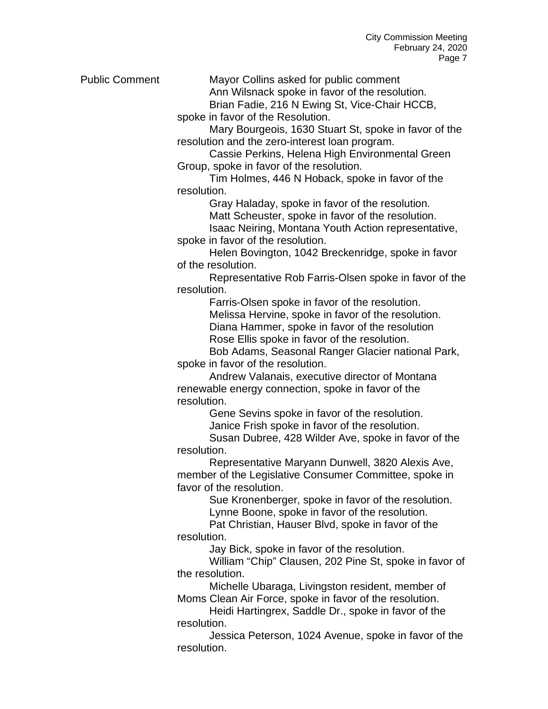Public Comment Mayor Collins asked for public comment

Ann Wilsnack spoke in favor of the resolution.

Brian Fadie, 216 N Ewing St, Vice-Chair HCCB,

spoke in favor of the Resolution.

Mary Bourgeois, 1630 Stuart St, spoke in favor of the resolution and the zero-interest loan program.

Cassie Perkins, Helena High Environmental Green Group, spoke in favor of the resolution.

Tim Holmes, 446 N Hoback, spoke in favor of the resolution.

Gray Haladay, spoke in favor of the resolution.

Matt Scheuster, spoke in favor of the resolution.

Isaac Neiring, Montana Youth Action representative,

spoke in favor of the resolution. Helen Bovington, 1042 Breckenridge, spoke in favor

of the resolution.

Representative Rob Farris-Olsen spoke in favor of the resolution.

Farris-Olsen spoke in favor of the resolution. Melissa Hervine, spoke in favor of the resolution. Diana Hammer, spoke in favor of the resolution Rose Ellis spoke in favor of the resolution.

Bob Adams, Seasonal Ranger Glacier national Park, spoke in favor of the resolution.

Andrew Valanais, executive director of Montana renewable energy connection, spoke in favor of the resolution.

Gene Sevins spoke in favor of the resolution.

Janice Frish spoke in favor of the resolution.

Susan Dubree, 428 Wilder Ave, spoke in favor of the resolution.

Representative Maryann Dunwell, 3820 Alexis Ave, member of the Legislative Consumer Committee, spoke in favor of the resolution.

Sue Kronenberger, spoke in favor of the resolution. Lynne Boone, spoke in favor of the resolution.

Pat Christian, Hauser Blvd, spoke in favor of the resolution.

Jay Bick, spoke in favor of the resolution.

William "Chip" Clausen, 202 Pine St, spoke in favor of the resolution.

Michelle Ubaraga, Livingston resident, member of Moms Clean Air Force, spoke in favor of the resolution.

Heidi Hartingrex, Saddle Dr., spoke in favor of the resolution.

Jessica Peterson, 1024 Avenue, spoke in favor of the resolution.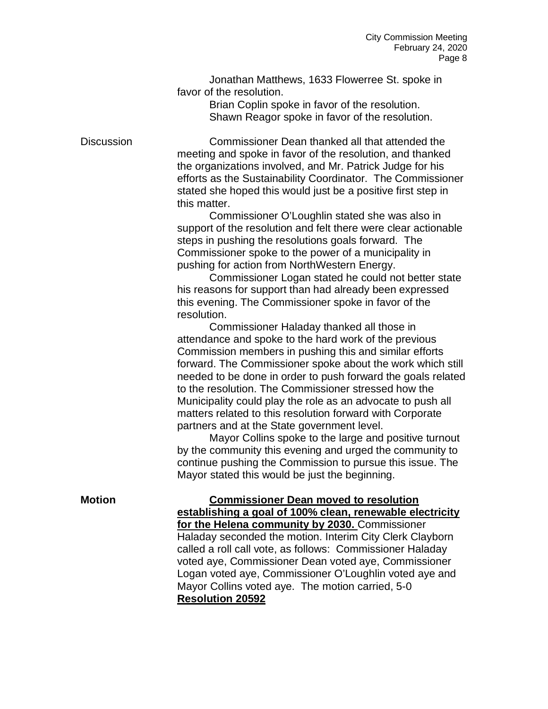Jonathan Matthews, 1633 Flowerree St. spoke in favor of the resolution.

> Brian Coplin spoke in favor of the resolution. Shawn Reagor spoke in favor of the resolution.

Discussion Commissioner Dean thanked all that attended the meeting and spoke in favor of the resolution, and thanked the organizations involved, and Mr. Patrick Judge for his efforts as the Sustainability Coordinator. The Commissioner stated she hoped this would just be a positive first step in this matter.

> Commissioner O'Loughlin stated she was also in support of the resolution and felt there were clear actionable steps in pushing the resolutions goals forward. The Commissioner spoke to the power of a municipality in pushing for action from NorthWestern Energy.

> Commissioner Logan stated he could not better state his reasons for support than had already been expressed this evening. The Commissioner spoke in favor of the resolution.

Commissioner Haladay thanked all those in attendance and spoke to the hard work of the previous Commission members in pushing this and similar efforts forward. The Commissioner spoke about the work which still needed to be done in order to push forward the goals related to the resolution. The Commissioner stressed how the Municipality could play the role as an advocate to push all matters related to this resolution forward with Corporate partners and at the State government level.

Mayor Collins spoke to the large and positive turnout by the community this evening and urged the community to continue pushing the Commission to pursue this issue. The Mayor stated this would be just the beginning.

**Motion Commissioner Dean moved to resolution establishing a goal of 100% clean, renewable electricity for the Helena community by 2030.** Commissioner Haladay seconded the motion. Interim City Clerk Clayborn called a roll call vote, as follows: Commissioner Haladay voted aye, Commissioner Dean voted aye, Commissioner Logan voted aye, Commissioner O'Loughlin voted aye and Mayor Collins voted aye. The motion carried, 5-0 **Resolution 20592**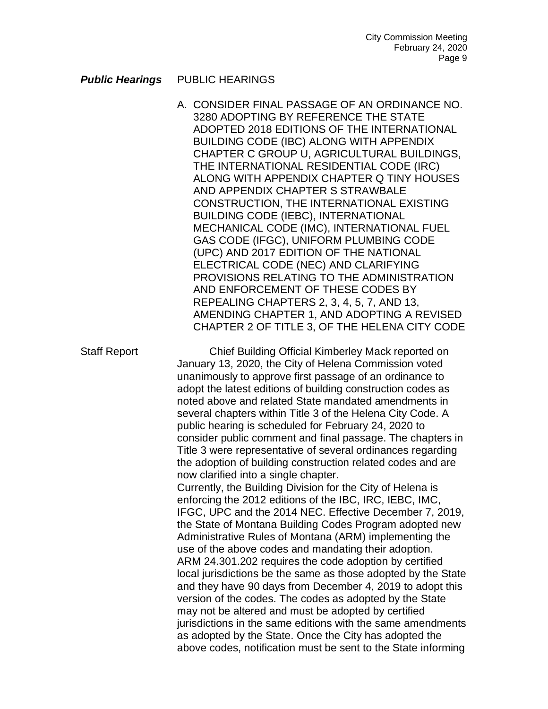#### **Public Hearings** PUBLIC HEARINGS

A. CONSIDER FINAL PASSAGE OF AN ORDINANCE NO. 3280 ADOPTING BY REFERENCE THE STATE ADOPTED 2018 EDITIONS OF THE INTERNATIONAL BUILDING CODE (IBC) ALONG WITH APPENDIX CHAPTER C GROUP U, AGRICULTURAL BUILDINGS, THE INTERNATIONAL RESIDENTIAL CODE (IRC) ALONG WITH APPENDIX CHAPTER Q TINY HOUSES AND APPENDIX CHAPTER S STRAWBALE CONSTRUCTION, THE INTERNATIONAL EXISTING BUILDING CODE (IEBC), INTERNATIONAL MECHANICAL CODE (IMC), INTERNATIONAL FUEL GAS CODE (IFGC), UNIFORM PLUMBING CODE (UPC) AND 2017 EDITION OF THE NATIONAL ELECTRICAL CODE (NEC) AND CLARIFYING PROVISIONS RELATING TO THE ADMINISTRATION AND ENFORCEMENT OF THESE CODES BY REPEALING CHAPTERS 2, 3, 4, 5, 7, AND 13, AMENDING CHAPTER 1, AND ADOPTING A REVISED CHAPTER 2 OF TITLE 3, OF THE HELENA CITY CODE

Staff Report Chief Building Official Kimberley Mack reported on January 13, 2020, the City of Helena Commission voted unanimously to approve first passage of an ordinance to adopt the latest editions of building construction codes as noted above and related State mandated amendments in several chapters within Title 3 of the Helena City Code. A public hearing is scheduled for February 24, 2020 to consider public comment and final passage. The chapters in Title 3 were representative of several ordinances regarding the adoption of building construction related codes and are now clarified into a single chapter. Currently, the Building Division for the City of Helena is enforcing the 2012 editions of the IBC, IRC, IEBC, IMC,

IFGC, UPC and the 2014 NEC. Effective December 7, 2019, the State of Montana Building Codes Program adopted new Administrative Rules of Montana (ARM) implementing the use of the above codes and mandating their adoption. ARM 24.301.202 requires the code adoption by certified local jurisdictions be the same as those adopted by the State and they have 90 days from December 4, 2019 to adopt this version of the codes. The codes as adopted by the State may not be altered and must be adopted by certified jurisdictions in the same editions with the same amendments as adopted by the State. Once the City has adopted the above codes, notification must be sent to the State informing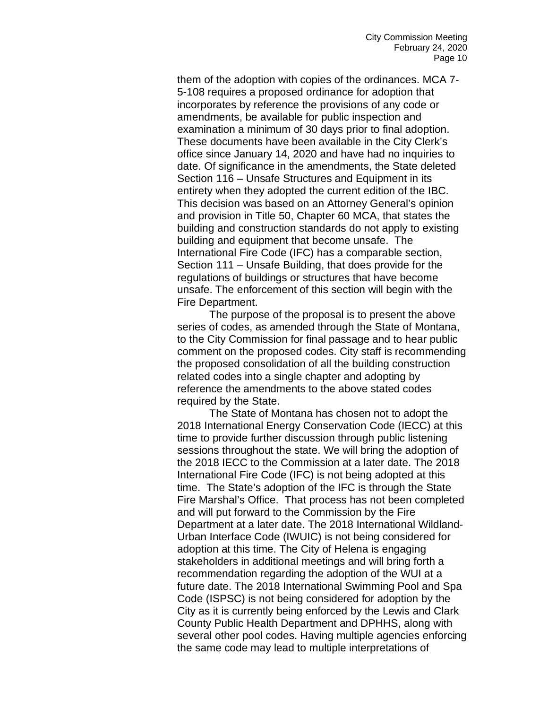them of the adoption with copies of the ordinances. MCA 7- 5-108 requires a proposed ordinance for adoption that incorporates by reference the provisions of any code or amendments, be available for public inspection and examination a minimum of 30 days prior to final adoption. These documents have been available in the City Clerk's office since January 14, 2020 and have had no inquiries to date. Of significance in the amendments, the State deleted Section 116 – Unsafe Structures and Equipment in its entirety when they adopted the current edition of the IBC. This decision was based on an Attorney General's opinion and provision in Title 50, Chapter 60 MCA, that states the building and construction standards do not apply to existing building and equipment that become unsafe. The International Fire Code (IFC) has a comparable section, Section 111 – Unsafe Building, that does provide for the regulations of buildings or structures that have become unsafe. The enforcement of this section will begin with the Fire Department.

The purpose of the proposal is to present the above series of codes, as amended through the State of Montana, to the City Commission for final passage and to hear public comment on the proposed codes. City staff is recommending the proposed consolidation of all the building construction related codes into a single chapter and adopting by reference the amendments to the above stated codes required by the State.

The State of Montana has chosen not to adopt the 2018 International Energy Conservation Code (IECC) at this time to provide further discussion through public listening sessions throughout the state. We will bring the adoption of the 2018 IECC to the Commission at a later date. The 2018 International Fire Code (IFC) is not being adopted at this time. The State's adoption of the IFC is through the State Fire Marshal's Office. That process has not been completed and will put forward to the Commission by the Fire Department at a later date. The 2018 International Wildland-Urban Interface Code (IWUIC) is not being considered for adoption at this time. The City of Helena is engaging stakeholders in additional meetings and will bring forth a recommendation regarding the adoption of the WUI at a future date. The 2018 International Swimming Pool and Spa Code (ISPSC) is not being considered for adoption by the City as it is currently being enforced by the Lewis and Clark County Public Health Department and DPHHS, along with several other pool codes. Having multiple agencies enforcing the same code may lead to multiple interpretations of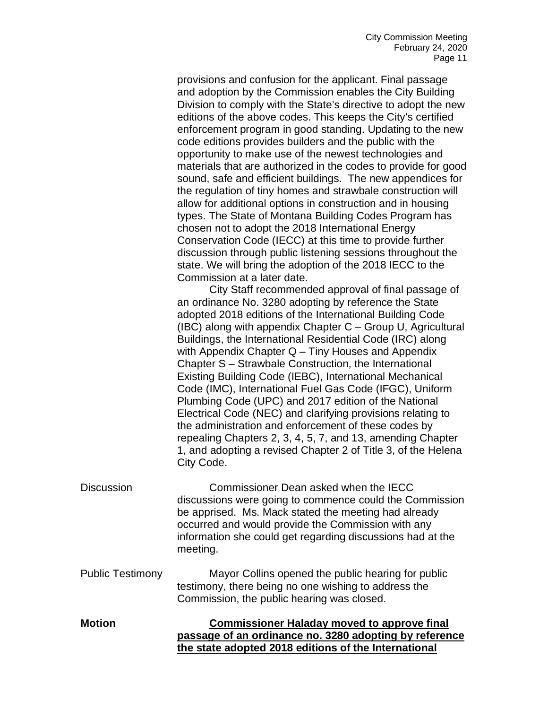provisions and confusion for the applicant. Final passage and adoption by the Commission enables the City Building Division to comply with the State's directive to adopt the new editions of the above codes. This keeps the City's certified enforcement program in good standing. Updating to the new code editions provides builders and the public with the opportunity to make use of the newest technologies and materials that are authorized in the codes to provide for good sound, safe and efficient buildings. The new appendices for the regulation of tiny homes and strawbale construction will allow for additional options in construction and in housing types. The State of Montana Building Codes Program has chosen not to adopt the 2018 International Energy Conservation Code (IECC) at this time to provide further discussion through public listening sessions throughout the state. We will bring the adoption of the 2018 IECC to the Commission at a later date.

City Staff recommended approval of final passage of an ordinance No. 3280 adopting by reference the State adopted 2018 editions of the International Building Code (IBC) along with appendix Chapter C – Group U, Agricultural Buildings, the International Residential Code (IRC) along with Appendix Chapter Q – Tiny Houses and Appendix Chapter S – Strawbale Construction, the International Existing Building Code (IEBC), International Mechanical Code (IMC), International Fuel Gas Code (IFGC), Uniform Plumbing Code (UPC) and 2017 edition of the National Electrical Code (NEC) and clarifying provisions relating to the administration and enforcement of these codes by repealing Chapters 2, 3, 4, 5, 7, and 13, amending Chapter 1, and adopting a revised Chapter 2 of Title 3, of the Helena City Code.

- Discussion Commissioner Dean asked when the IECC discussions were going to commence could the Commission be apprised. Ms. Mack stated the meeting had already occurred and would provide the Commission with any information she could get regarding discussions had at the meeting.
- Public Testimony Mayor Collins opened the public hearing for public testimony, there being no one wishing to address the Commission, the public hearing was closed.
- **Motion Commissioner Haladay moved to approve final passage of an ordinance no. 3280 adopting by reference the state adopted 2018 editions of the International**